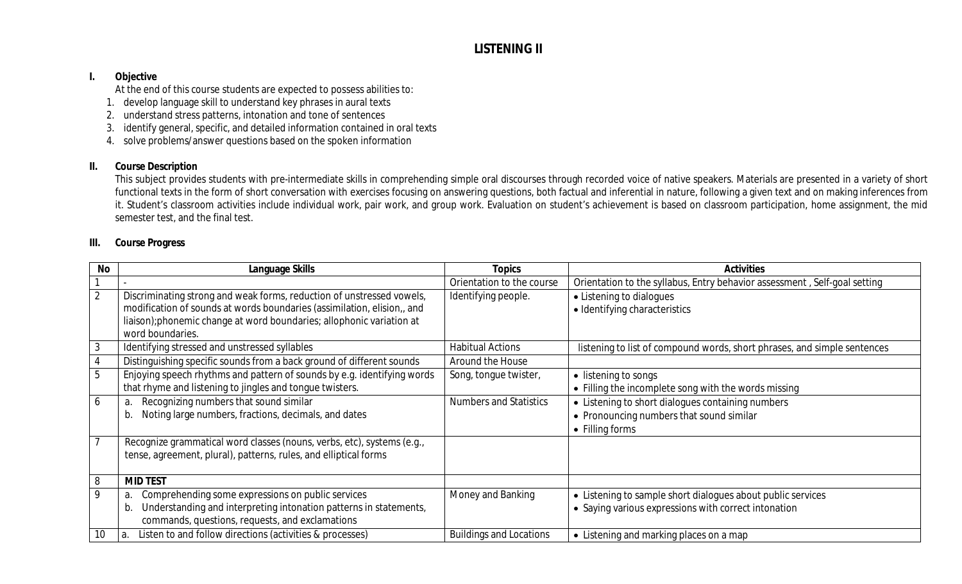# **LISTENING II**

#### **I. Objective**

At the end of this course students are expected to possess abilities to:

- 1. develop language skill to understand key phrases in aural texts
- 2. understand stress patterns, intonation and tone of sentences
- 3. identify general, specific, and detailed information contained in oral texts
- 4. solve problems/answer questions based on the spoken information

## **II. Course Description**

This subject provides students with pre-intermediate skills in comprehending simple oral discourses through recorded voice of native speakers. Materials are presented in a variety of short functional texts in the form of short conversation with exercises focusing on answering questions, both factual and inferential in nature, following a given text and on making inferences from it. Student's classroom activities include individual work, pair work, and group work. Evaluation on student's achievement is based on classroom participation, home assignment, the mid semester test, and the final test.

#### **III. Course Progress**

| <b>No</b>      | Language Skills                                                                                                                                                                                                                               | <b>Topics</b>                  | <b>Activities</b>                                                                                                   |
|----------------|-----------------------------------------------------------------------------------------------------------------------------------------------------------------------------------------------------------------------------------------------|--------------------------------|---------------------------------------------------------------------------------------------------------------------|
|                |                                                                                                                                                                                                                                               | Orientation to the course      | Orientation to the syllabus, Entry behavior assessment, Self-goal setting                                           |
| $\overline{2}$ | Discriminating strong and weak forms, reduction of unstressed vowels,<br>modification of sounds at words boundaries (assimilation, elision,, and<br>liaison); phonemic change at word boundaries; allophonic variation at<br>word boundaries. | Identifying people.            | • Listening to dialogues<br>• Identifying characteristics                                                           |
|                | Identifying stressed and unstressed syllables                                                                                                                                                                                                 | <b>Habitual Actions</b>        | listening to list of compound words, short phrases, and simple sentences                                            |
|                | Distinguishing specific sounds from a back ground of different sounds                                                                                                                                                                         | Around the House               |                                                                                                                     |
| 5              | Enjoying speech rhythms and pattern of sounds by e.g. identifying words<br>that rhyme and listening to jingles and tongue twisters.                                                                                                           | Song, tongue twister,          | • listening to songs<br>• Filling the incomplete song with the words missing                                        |
| 6              | Recognizing numbers that sound similar<br>a.<br>Noting large numbers, fractions, decimals, and dates<br>b.                                                                                                                                    | <b>Numbers and Statistics</b>  | • Listening to short dialogues containing numbers<br>• Pronouncing numbers that sound similar<br>• Filling forms    |
|                | Recognize grammatical word classes (nouns, verbs, etc), systems (e.g.,<br>tense, agreement, plural), patterns, rules, and elliptical forms                                                                                                    |                                |                                                                                                                     |
| 8              | <b>MID TEST</b>                                                                                                                                                                                                                               |                                |                                                                                                                     |
| 9              | Comprehending some expressions on public services<br>a.<br>Understanding and interpreting intonation patterns in statements,<br>b.<br>commands, questions, requests, and exclamations                                                         | Money and Banking              | • Listening to sample short dialogues about public services<br>• Saying various expressions with correct intonation |
| 10             | Listen to and follow directions (activities & processes)<br>a.                                                                                                                                                                                | <b>Buildings and Locations</b> | • Listening and marking places on a map                                                                             |